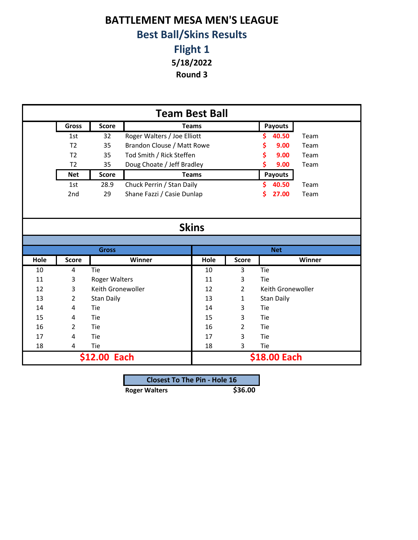## **BATTLEMENT MESA MEN'S LEAGUE Best Ball/Skins Results**

**Flight 1**

**5/18/2022**

**Round 3**

|      |                |                      |                             | <b>Team Best Ball</b> |              |                   |        |
|------|----------------|----------------------|-----------------------------|-----------------------|--------------|-------------------|--------|
|      | <b>Gross</b>   | <b>Score</b>         |                             | <b>Teams</b>          |              | <b>Payouts</b>    |        |
|      | 1st            | 32                   | Roger Walters / Joe Elliott |                       |              | 40.50<br>S.       | Team   |
|      | T <sub>2</sub> | 35                   | Brandon Clouse / Matt Rowe  |                       |              | 9.00<br>\$        | Team   |
|      | T <sub>2</sub> | 35                   | Tod Smith / Rick Steffen    |                       |              | 9.00              | Team   |
|      | T <sub>2</sub> | 35                   | Doug Choate / Jeff Bradley  |                       |              | 9.00              | Team   |
|      | <b>Net</b>     | <b>Score</b>         |                             | <b>Teams</b>          |              | Payouts           |        |
|      | 1st            | 28.9                 | Chuck Perrin / Stan Daily   |                       |              | 40.50<br>\$.      | Team   |
|      | 2nd            | 29                   | Shane Fazzi / Casie Dunlap  |                       |              | 27.00<br>Ś        | Team   |
|      |                |                      |                             | <b>Skins</b>          |              |                   |        |
|      |                | <b>Gross</b>         |                             |                       |              | <b>Net</b>        |        |
| Hole | <b>Score</b>   |                      | Winner                      | Hole                  | <b>Score</b> |                   | Winner |
| 10   | 4              | Tie                  |                             | 10                    | 3            | Tie               |        |
| 11   | 3              | <b>Roger Walters</b> |                             | 11                    | 3            | Tie               |        |
| 12   | 3              | Keith Gronewoller    |                             | 12                    | 2            | Keith Gronewoller |        |
| 13   | $\overline{2}$ | <b>Stan Daily</b>    |                             | 13                    | 1            | <b>Stan Daily</b> |        |
| 14   | 4              | Tie                  |                             | 14                    | 3            | Tie               |        |
| 15   | 4              | Tie                  |                             | 15                    | 3            | Tie               |        |
| 16   | $\overline{2}$ | Tie                  |                             | 16                    | 2            | Tie               |        |
| 17   | 4              | Tie                  |                             | 17                    | 3            | Tie               |        |
| 18   | 4              | Tie                  |                             | 18                    | 3            | Tie               |        |
|      |                | \$12.00 Each         |                             |                       |              | \$18.00 Each      |        |

| <b>Closest To The Pin - Hole 16</b> |         |
|-------------------------------------|---------|
| <b>Roger Walters</b>                | \$36.00 |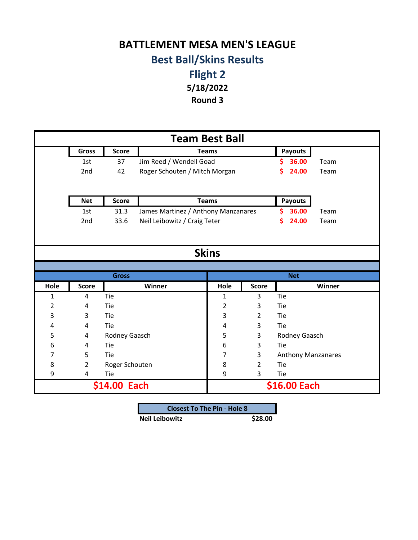## **BATTLEMENT MESA MEN'S LEAGUE Best Ball/Skins Results**

**Flight 2 5/18/2022**

**Round 3**

|                |              |                |                                     | <b>Team Best Ball</b> |                |                           |        |
|----------------|--------------|----------------|-------------------------------------|-----------------------|----------------|---------------------------|--------|
|                | Gross        | <b>Score</b>   |                                     | <b>Teams</b>          |                | <b>Payouts</b>            |        |
|                | 1st          | 37             | Jim Reed / Wendell Goad             |                       |                | 36.00<br>S                | Team   |
|                | 2nd          | 42             | Roger Schouten / Mitch Morgan       |                       |                | \$<br>24.00               | Team   |
|                |              |                |                                     |                       |                |                           |        |
|                | <b>Net</b>   | <b>Score</b>   |                                     | <b>Teams</b>          |                | Payouts                   |        |
|                | 1st          | 31.3           | James Martinez / Anthony Manzanares |                       |                | Ś<br>36.00                | Team   |
|                | 2nd          | 33.6           | Neil Leibowitz / Craig Teter        |                       |                | S<br>24.00                | Team   |
|                |              |                |                                     |                       |                |                           |        |
|                |              |                |                                     |                       |                |                           |        |
|                |              |                |                                     | <b>Skins</b>          |                |                           |        |
|                |              |                |                                     |                       |                |                           |        |
|                |              | <b>Gross</b>   |                                     |                       |                | <b>Net</b>                |        |
| Hole           | <b>Score</b> |                | Winner                              | Hole                  | <b>Score</b>   |                           | Winner |
| 1              | 4            | Tie            |                                     | 1                     | 3              | Tie                       |        |
| $\overline{2}$ | 4            | Tie            |                                     | $\overline{2}$        | 3              | Tie                       |        |
| 3              | 3            | Tie            |                                     | 3                     | $\overline{2}$ | Tie                       |        |
| 4              | 4            | Tie            |                                     | 4                     | 3              | Tie                       |        |
| 5              | 4            | Rodney Gaasch  |                                     | 5                     | 3              | Rodney Gaasch             |        |
| 6              | 4            | Tie            |                                     | 6                     | 3              | Tie                       |        |
| 7              | 5            | Tie            |                                     | 7                     | 3              | <b>Anthony Manzanares</b> |        |
| 8              | 2            | Roger Schouten |                                     | 8                     | 2              | Tie                       |        |
| 9              | 4            | Tie            |                                     | 9                     | 3              | Tie                       |        |
|                |              | \$14.00 Each   |                                     |                       |                | \$16.00 Each              |        |

| <b>Closest To The Pin - Hole 8</b> |         |
|------------------------------------|---------|
| <b>Neil Leibowitz</b>              | \$28.00 |